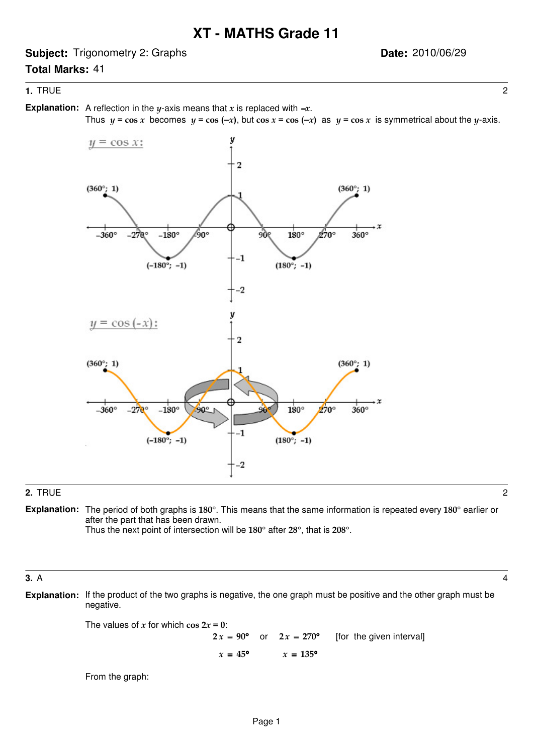**Subject:** Trigonometry 2: Graphs

# **Date:** 2010/06/29

## **1.** TRUE 2

**Total Marks:** 41

**Explanation:** A reflection in the y-axis means that x is replaced with  $-x$ .

Thus  $y = \cos x$  becomes  $y = \cos (-x)$ , but  $\cos x = \cos (-x)$  as  $y = \cos x$  is symmetrical about the y-axis.



### **2.** TRUE 2

**Explanation:** The period of both graphs is 180°. This means that the same information is repeated every 180° earlier or after the part that has been drawn.

Thus the next point of intersection will be 180° after 28°, that is 208°.

### **3.** A 4

**Explanation:** If the product of the two graphs is negative, the one graph must be positive and the other graph must be negative.

The values of x for which cos  $2x = 0$ :

or  $2x = 270^{\circ}$  [for the given interval]  $2x = 90^{\circ}$  or  $2x = 270^{\circ}$  $= 45^{\circ}$   $x = 135^{\circ}$  $2x = 90^{\circ}$  $x = 45^{\circ}$ 

From the graph: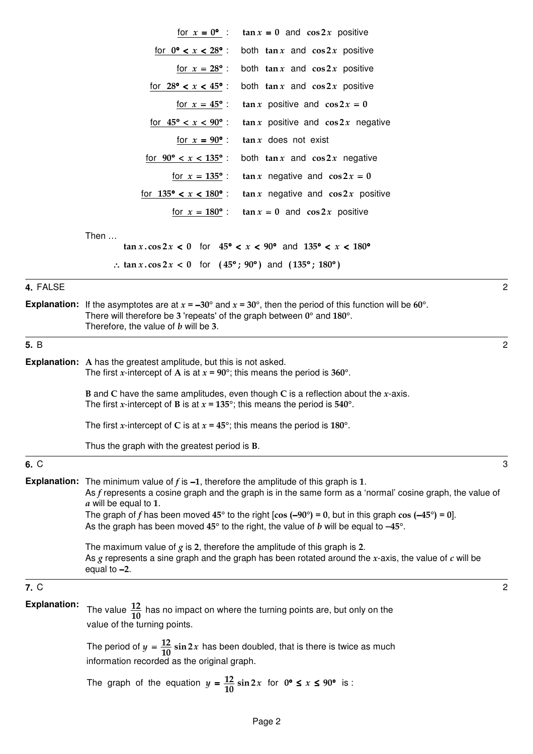|                     | $\tan x = 0$ and $\cos 2x$ positive<br>for $x = 0^{\circ}$ :                                                                                                                                                                                                                                                                                              |                |
|---------------------|-----------------------------------------------------------------------------------------------------------------------------------------------------------------------------------------------------------------------------------------------------------------------------------------------------------------------------------------------------------|----------------|
|                     | both $\tan x$ and $\cos 2x$ positive<br>for $0^{\circ} < x < 28^{\circ}$ :                                                                                                                                                                                                                                                                                |                |
|                     | both $\tan x$ and $\cos 2x$ positive<br>for $x = 28^{\circ}$ :                                                                                                                                                                                                                                                                                            |                |
|                     | both $\tan x$ and $\cos 2x$ positive<br>for $28^{\circ} < x < 45^{\circ}$ :                                                                                                                                                                                                                                                                               |                |
|                     | $\tan x$ positive and $\cos 2x = 0$<br><u>for <math>x = 45^{\circ}</math>:</u>                                                                                                                                                                                                                                                                            |                |
|                     | for $45^{\circ} < x < 90^{\circ}$ :<br>$\tan x$ positive and $\cos 2x$ negative                                                                                                                                                                                                                                                                           |                |
|                     | $\tan x$ does not exist<br>for $x = 90^{\circ}$ :                                                                                                                                                                                                                                                                                                         |                |
|                     | for $90^{\circ} < x < 135^{\circ}$ :<br>both $\tan x$ and $\cos 2x$ negative                                                                                                                                                                                                                                                                              |                |
|                     | $\tan x$ negative and $\cos 2x = 0$<br>for $x = 135^{\circ}$ :                                                                                                                                                                                                                                                                                            |                |
|                     | for $135^{\circ} < x < 180^{\circ}$ :<br>$\tan x$ negative and $\cos 2x$ positive                                                                                                                                                                                                                                                                         |                |
|                     | for $x = 180^{\circ}$ :<br>$\tan x = 0$ and $\cos 2x$ positive                                                                                                                                                                                                                                                                                            |                |
|                     | Then<br>$\tan x \cdot \cos 2x < 0$ for $45^{\circ} < x < 90^{\circ}$ and $135^{\circ} < x < 180^{\circ}$                                                                                                                                                                                                                                                  |                |
|                     | : $\tan x \cdot \cos 2x < 0$ for $(45^{\circ}; 90^{\circ})$ and $(135^{\circ}; 180^{\circ})$                                                                                                                                                                                                                                                              |                |
| 4. FALSE            | $\overline{2}$                                                                                                                                                                                                                                                                                                                                            |                |
|                     | <b>Explanation:</b> If the asymptotes are at $x = -30^{\circ}$ and $x = 30^{\circ}$ , then the period of this function will be 60°.<br>There will therefore be 3 'repeats' of the graph between $0^{\circ}$ and $180^{\circ}$ .<br>Therefore, the value of b will be 3.                                                                                   |                |
| 5. B                |                                                                                                                                                                                                                                                                                                                                                           | $\overline{2}$ |
|                     | <b>Explanation:</b> A has the greatest amplitude, but this is not asked.<br>The first x-intercept of A is at $x = 90^{\circ}$ ; this means the period is 360°.                                                                                                                                                                                            |                |
|                     | <b>B</b> and C have the same amplitudes, even though C is a reflection about the $x$ -axis.<br>The first x-intercept of B is at $x = 135^{\circ}$ ; this means the period is 540°.                                                                                                                                                                        |                |
|                     | The first x-intercept of C is at $x = 45^{\circ}$ ; this means the period is 180°.                                                                                                                                                                                                                                                                        |                |
|                     | Thus the graph with the greatest period is <b>B</b> .                                                                                                                                                                                                                                                                                                     |                |
| 6. C                | 3                                                                                                                                                                                                                                                                                                                                                         |                |
|                     | <b>Explanation:</b> The minimum value of $f$ is $-1$ , therefore the amplitude of this graph is 1.<br>As $f$ represents a cosine graph and the graph is in the same form as a 'normal' cosine graph, the value of<br>a will be equal to 1.<br>The graph of f has been moved $45^{\circ}$ to the right [cos (-90°) = 0, but in this graph cos (-45°) = 0]. |                |
|                     | As the graph has been moved $45^{\circ}$ to the right, the value of b will be equal to $-45^{\circ}$ .                                                                                                                                                                                                                                                    |                |
|                     | The maximum value of $g$ is 2, therefore the amplitude of this graph is 2.<br>As $g$ represents a sine graph and the graph has been rotated around the $x$ -axis, the value of $c$ will be<br>equal to $-2$ .                                                                                                                                             |                |
| 7. C                | $\overline{c}$                                                                                                                                                                                                                                                                                                                                            |                |
| <b>Explanation:</b> | The value $\frac{12}{10}$ has no impact on where the turning points are, but only on the<br>value of the turning points.                                                                                                                                                                                                                                  |                |
|                     | The period of $y = \frac{12}{10} \sin 2x$ has been doubled, that is there is twice as much<br>information recorded as the original graph.                                                                                                                                                                                                                 |                |
|                     | The graph of the equation $y = \frac{12}{10} \sin 2x$ for $0^{\circ} \le x \le 90^{\circ}$ is:                                                                                                                                                                                                                                                            |                |
|                     |                                                                                                                                                                                                                                                                                                                                                           |                |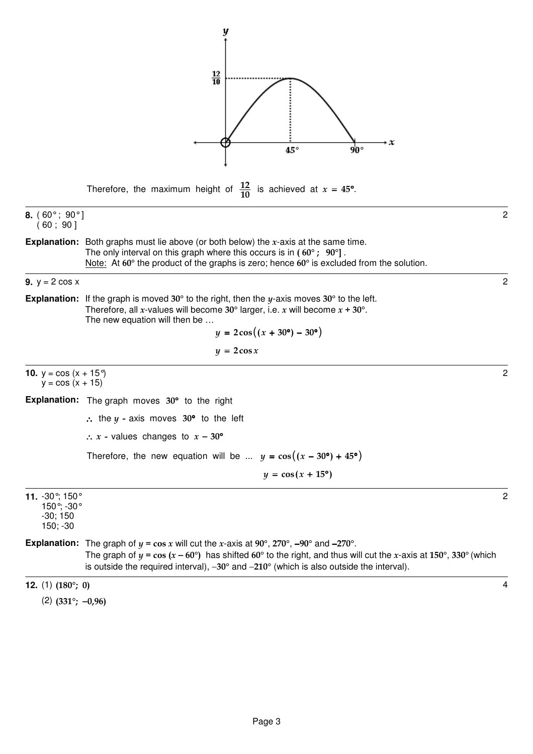